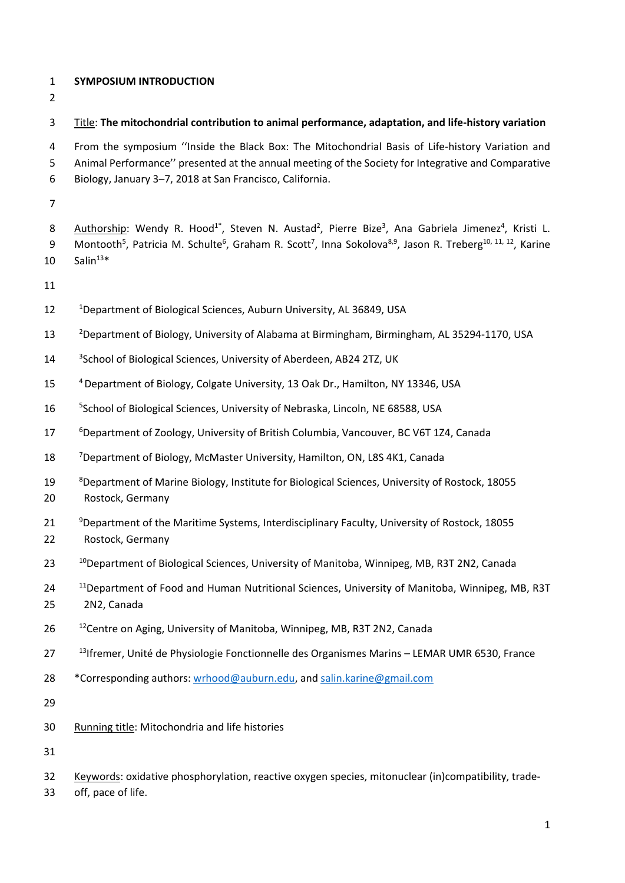## **SYMPOSIUM INTRODUCTION**

# Title: **The mitochondrial contribution to animal performance, adaptation, and life‐history variation**

4 From the symposium "Inside the Black Box: The Mitochondrial Basis of Life-history Variation and Animal Performance'' presented at the annual meeting of the Society for Integrative and Comparative Biology, January 3–7, 2018 at San Francisco, California.

8 Authorship: Wendy R. Hood<sup>1\*</sup>, Steven N. Austad<sup>2</sup>, Pierre Bize<sup>3</sup>, Ana Gabriela Jimenez<sup>4</sup>, Kristi L. 9 Montooth<sup>5</sup>, Patricia M. Schulte<sup>6</sup>, Graham R. Scott<sup>7</sup>, Inna Sokolova<sup>8,9</sup>, Jason R. Treberg<sup>10, 11, 12</sup>, Karine Salin<sup>13\*</sup>

- 
- 12 <sup>1</sup>Department of Biological Sciences, Auburn University, AL 36849, USA
- <sup>2</sup> Department of Biology, University of Alabama at Birmingham, Birmingham, AL 35294‐1170, USA
- 14 <sup>3</sup> 3 School of Biological Sciences, University of Aberdeen, AB24 2TZ, UK
- 15 <sup>4</sup> Department of Biology, Colgate University, 13 Oak Dr., Hamilton, NY 13346, USA
- <sup>5</sup> School of Biological Sciences, University of Nebraska, Lincoln, NE 68588, USA
- <sup>6</sup> Department of Zoology, University of British Columbia, Vancouver, BC V6T 1Z4, Canada
- <sup>7</sup> Department of Biology, McMaster University, Hamilton, ON, L8S 4K1, Canada
- <sup>8</sup> Department of Marine Biology, Institute for Biological Sciences, University of Rostock, 18055 Rostock, Germany
- <sup>9</sup> Department of the Maritime Systems, Interdisciplinary Faculty, University of Rostock, 18055 Rostock, Germany
- <sup>10</sup> Department of Biological Sciences, University of Manitoba, Winnipeg, MB, R3T 2N2, Canada
- <sup>11</sup> Department of Food and Human Nutritional Sciences, University of Manitoba, Winnipeg, MB, R3T 2N2, Canada
- 26 <sup>12</sup> Centre on Aging, University of Manitoba, Winnipeg, MB, R3T 2N2, Canada
- 27 <sup>13</sup> Ifremer, Unité de Physiologie Fonctionnelle des Organismes Marins LEMAR UMR 6530, France
- \*Corresponding authors: wrhood@auburn.edu, and salin.karine@gmail.com

Running title: Mitochondria and life histories

Keywords: oxidative phosphorylation, reactive oxygen species, mitonuclear (in)compatibility, trade‐

off, pace of life.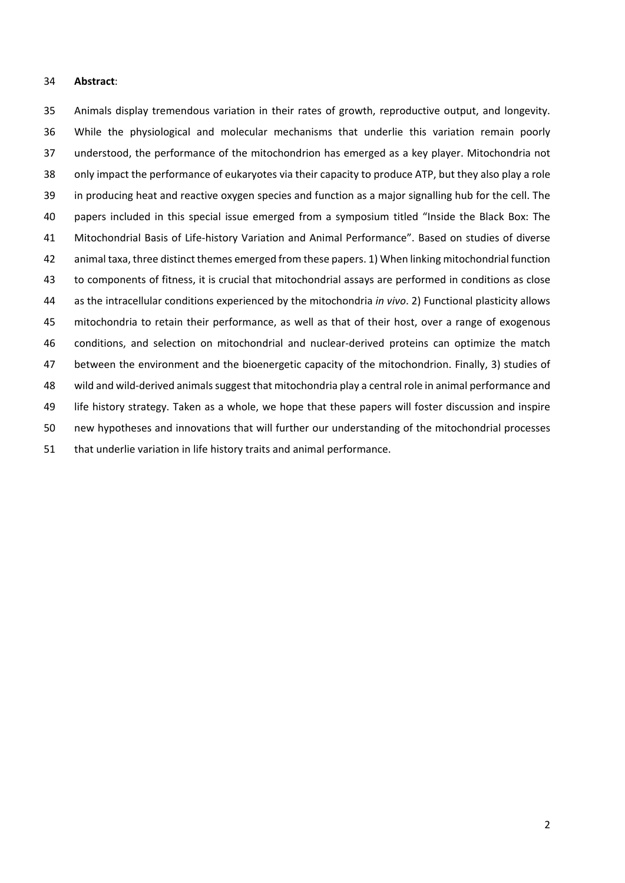#### **Abstract**:

 Animals display tremendous variation in their rates of growth, reproductive output, and longevity. While the physiological and molecular mechanisms that underlie this variation remain poorly understood, the performance of the mitochondrion has emerged as a key player. Mitochondria not only impact the performance of eukaryotes via their capacity to produce ATP, but they also play a role in producing heat and reactive oxygen species and function as a major signalling hub for the cell. The papers included in this special issue emerged from a symposium titled "Inside the Black Box: The 41 Mitochondrial Basis of Life-history Variation and Animal Performance". Based on studies of diverse animal taxa, three distinct themes emerged from these papers. 1) When linking mitochondrial function to components of fitness, it is crucial that mitochondrial assays are performed in conditions as close as the intracellular conditions experienced by the mitochondria *in vivo*. 2) Functional plasticity allows mitochondria to retain their performance, as well as that of their host, over a range of exogenous conditions, and selection on mitochondrial and nuclear‐derived proteins can optimize the match between the environment and the bioenergetic capacity of the mitochondrion. Finally, 3) studies of wild and wild‐derived animals suggest that mitochondria play a central role in animal performance and life history strategy. Taken as a whole, we hope that these papers will foster discussion and inspire new hypotheses and innovations that will further our understanding of the mitochondrial processes that underlie variation in life history traits and animal performance.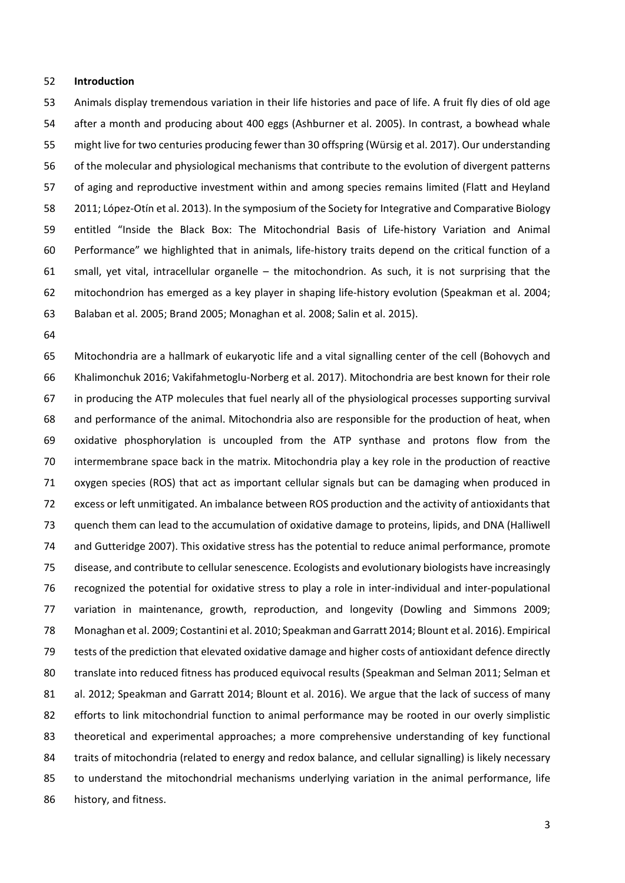### **Introduction**

 Animals display tremendous variation in their life histories and pace of life. A fruit fly dies of old age after a month and producing about 400 eggs (Ashburner et al. 2005). In contrast, a bowhead whale might live for two centuries producing fewer than 30 offspring (Würsig et al. 2017). Our understanding of the molecular and physiological mechanisms that contribute to the evolution of divergent patterns of aging and reproductive investment within and among species remains limited (Flatt and Heyland **2011; López-Otín et al. 2013).** In the symposium of the Society for Integrative and Comparative Biology entitled "Inside the Black Box: The Mitochondrial Basis of Life‐history Variation and Animal 60 Performance" we highlighted that in animals, life-history traits depend on the critical function of a small, yet vital, intracellular organelle – the mitochondrion. As such, it is not surprising that the mitochondrion has emerged as a key player in shaping life‐history evolution (Speakman et al. 2004; Balaban et al. 2005; Brand 2005; Monaghan et al. 2008; Salin et al. 2015).

 Mitochondria are a hallmark of eukaryotic life and a vital signalling center of the cell (Bohovych and Khalimonchuk 2016; Vakifahmetoglu‐Norberg et al. 2017). Mitochondria are best known for their role in producing the ATP molecules that fuel nearly all of the physiological processes supporting survival and performance of the animal. Mitochondria also are responsible for the production of heat, when oxidative phosphorylation is uncoupled from the ATP synthase and protons flow from the intermembrane space back in the matrix. Mitochondria play a key role in the production of reactive oxygen species (ROS) that act as important cellular signals but can be damaging when produced in excess or left unmitigated. An imbalance between ROS production and the activity of antioxidants that quench them can lead to the accumulation of oxidative damage to proteins, lipids, and DNA (Halliwell and Gutteridge 2007). This oxidative stress has the potential to reduce animal performance, promote disease, and contribute to cellular senescence. Ecologists and evolutionary biologists have increasingly recognized the potential for oxidative stress to play a role in inter‐individual and inter‐populational 77 variation in maintenance, growth, reproduction, and longevity (Dowling and Simmons 2009; Monaghan et al. 2009; Costantini et al. 2010; Speakman and Garratt 2014; Blount et al. 2016). Empirical tests of the prediction that elevated oxidative damage and higher costs of antioxidant defence directly translate into reduced fitness has produced equivocal results (Speakman and Selman 2011; Selman et al. 2012; Speakman and Garratt 2014; Blount et al. 2016). We argue that the lack of success of many 82 efforts to link mitochondrial function to animal performance may be rooted in our overly simplistic theoretical and experimental approaches; a more comprehensive understanding of key functional traits of mitochondria (related to energy and redox balance, and cellular signalling) is likely necessary 85 to understand the mitochondrial mechanisms underlying variation in the animal performance, life history, and fitness.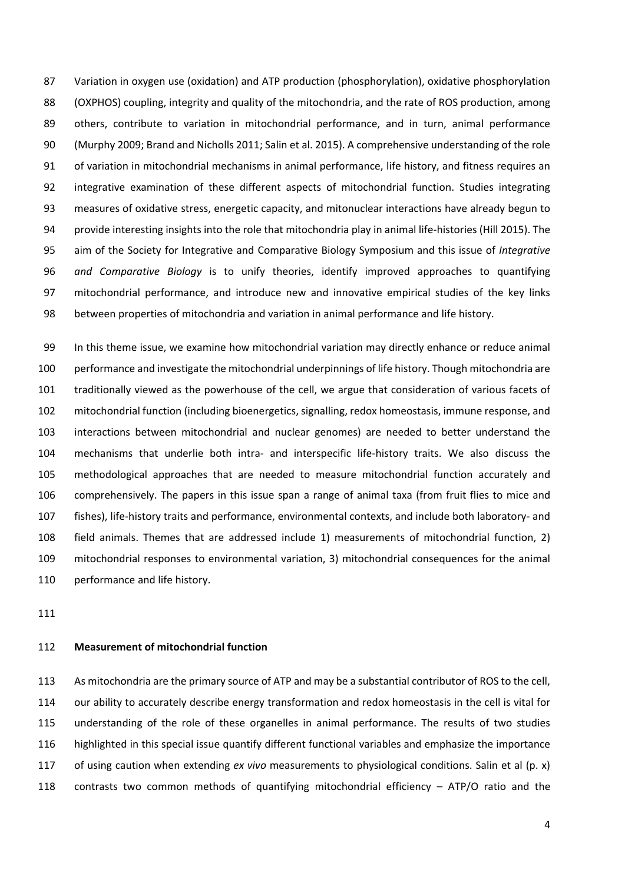Variation in oxygen use (oxidation) and ATP production (phosphorylation), oxidative phosphorylation (OXPHOS) coupling, integrity and quality of the mitochondria, and the rate of ROS production, among others, contribute to variation in mitochondrial performance, and in turn, animal performance (Murphy 2009; Brand and Nicholls 2011; Salin et al. 2015). A comprehensive understanding of the role of variation in mitochondrial mechanisms in animal performance, life history, and fitness requires an integrative examination of these different aspects of mitochondrial function. Studies integrating measures of oxidative stress, energetic capacity, and mitonuclear interactions have already begun to 94 provide interesting insights into the role that mitochondria play in animal life-histories (Hill 2015). The aim of the Society for Integrative and Comparative Biology Symposium and this issue of *Integrative and Comparative Biology* is to unify theories, identify improved approaches to quantifying mitochondrial performance, and introduce new and innovative empirical studies of the key links between properties of mitochondria and variation in animal performance and life history.

 In this theme issue, we examine how mitochondrial variation may directly enhance or reduce animal performance and investigate the mitochondrial underpinnings of life history. Though mitochondria are traditionally viewed as the powerhouse of the cell, we argue that consideration of various facets of mitochondrial function (including bioenergetics, signalling, redox homeostasis, immune response, and interactions between mitochondrial and nuclear genomes) are needed to better understand the mechanisms that underlie both intra‐ and interspecific life‐history traits. We also discuss the methodological approaches that are needed to measure mitochondrial function accurately and comprehensively. The papers in this issue span a range of animal taxa (from fruit flies to mice and fishes), life‐history traits and performance, environmental contexts, and include both laboratory‐ and field animals. Themes that are addressed include 1) measurements of mitochondrial function, 2) mitochondrial responses to environmental variation, 3) mitochondrial consequences for the animal 110 performance and life history.

## **Measurement of mitochondrial function**

 As mitochondria are the primary source of ATP and may be a substantial contributor of ROS to the cell, our ability to accurately describe energy transformation and redox homeostasis in the cell is vital for understanding of the role of these organelles in animal performance. The results of two studies highlighted in this special issue quantify different functional variables and emphasize the importance of using caution when extending *ex vivo* measurements to physiological conditions. Salin et al (p. x) contrasts two common methods of quantifying mitochondrial efficiency – ATP/O ratio and the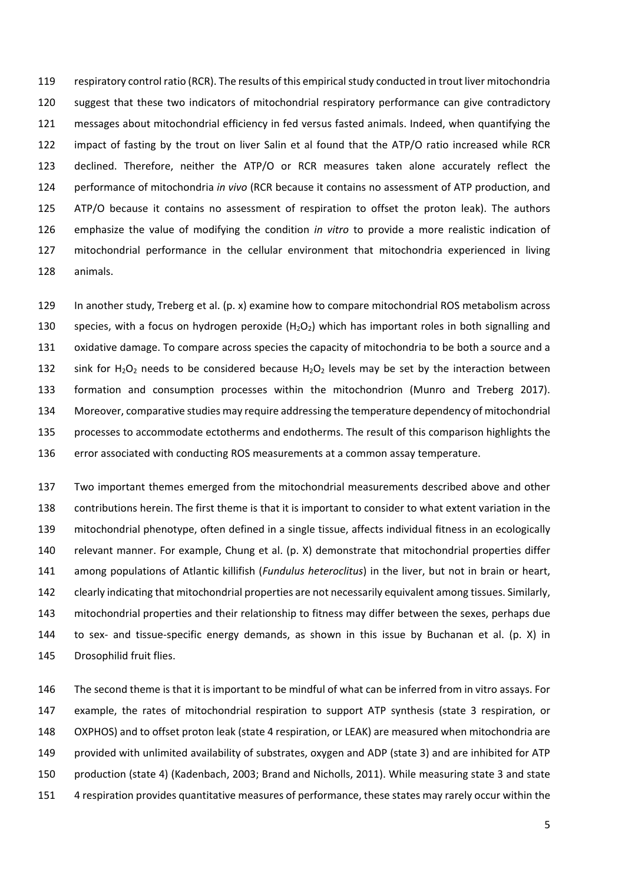respiratory control ratio (RCR). The results of this empirical study conducted in trout liver mitochondria suggest that these two indicators of mitochondrial respiratory performance can give contradictory messages about mitochondrial efficiency in fed versus fasted animals. Indeed, when quantifying the impact of fasting by the trout on liver Salin et al found that the ATP/O ratio increased while RCR declined. Therefore, neither the ATP/O or RCR measures taken alone accurately reflect the performance of mitochondria *in vivo* (RCR because it contains no assessment of ATP production, and 125 ATP/O because it contains no assessment of respiration to offset the proton leak). The authors emphasize the value of modifying the condition *in vitro* to provide a more realistic indication of mitochondrial performance in the cellular environment that mitochondria experienced in living animals.

 In another study, Treberg et al. (p. x) examine how to compare mitochondrial ROS metabolism across 130 species, with a focus on hydrogen peroxide  $(H_2O_2)$  which has important roles in both signalling and oxidative damage. To compare across species the capacity of mitochondria to be both a source and a 132 sink for  $H_2O_2$  needs to be considered because  $H_2O_2$  levels may be set by the interaction between formation and consumption processes within the mitochondrion (Munro and Treberg 2017). Moreover, comparative studies may require addressing the temperature dependency of mitochondrial processes to accommodate ectotherms and endotherms. The result of this comparison highlights the error associated with conducting ROS measurements at a common assay temperature.

 Two important themes emerged from the mitochondrial measurements described above and other contributions herein. The first theme is that it is important to consider to what extent variation in the mitochondrial phenotype, often defined in a single tissue, affects individual fitness in an ecologically relevant manner. For example, Chung et al. (p. X) demonstrate that mitochondrial properties differ among populations of Atlantic killifish (*Fundulus heteroclitus*) in the liver, but not in brain or heart, clearly indicating that mitochondrial properties are not necessarily equivalent among tissues. Similarly, mitochondrial properties and their relationship to fitness may differ between the sexes, perhaps due 144 to sex- and tissue-specific energy demands, as shown in this issue by Buchanan et al. (p.  $X$ ) in Drosophilid fruit flies.

 The second theme is that it is important to be mindful of what can be inferred from in vitro assays. For example, the rates of mitochondrial respiration to support ATP synthesis (state 3 respiration, or OXPHOS) and to offset proton leak (state 4 respiration, or LEAK) are measured when mitochondria are provided with unlimited availability of substrates, oxygen and ADP (state 3) and are inhibited for ATP production (state 4) (Kadenbach, 2003; Brand and Nicholls, 2011). While measuring state 3 and state 4 respiration provides quantitative measures of performance, these states may rarely occur within the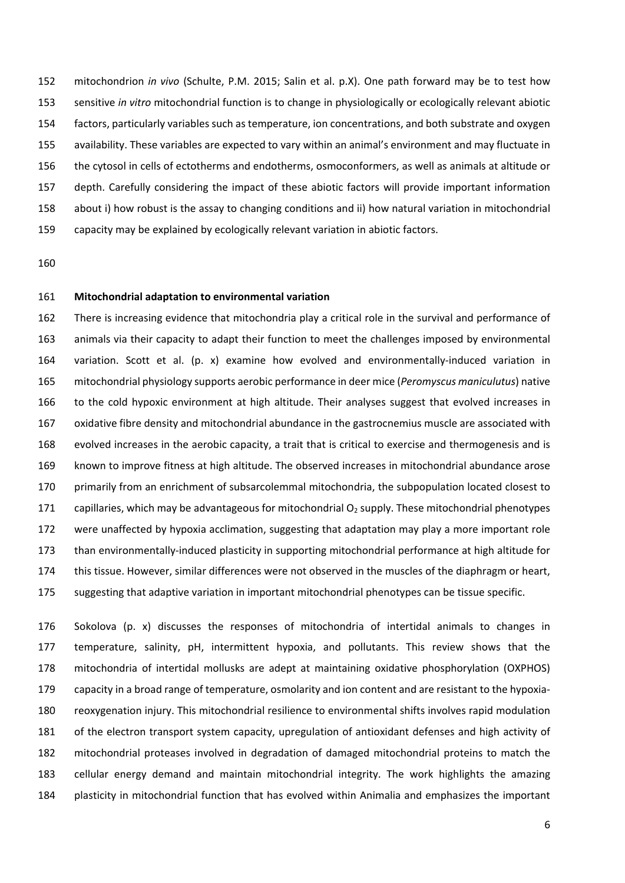mitochondrion *in vivo* (Schulte, P.M. 2015; Salin et al. p.X). One path forward may be to test how sensitive *in vitro* mitochondrial function is to change in physiologically or ecologically relevant abiotic factors, particularly variables such as temperature, ion concentrations, and both substrate and oxygen availability. These variables are expected to vary within an animal's environment and may fluctuate in the cytosol in cells of ectotherms and endotherms, osmoconformers, as well as animals at altitude or depth. Carefully considering the impact of these abiotic factors will provide important information about i) how robust is the assay to changing conditions and ii) how natural variation in mitochondrial capacity may be explained by ecologically relevant variation in abiotic factors.

#### **Mitochondrial adaptation to environmental variation**

 There is increasing evidence that mitochondria play a critical role in the survival and performance of animals via their capacity to adapt their function to meet the challenges imposed by environmental 164 variation. Scott et al. (p. x) examine how evolved and environmentally-induced variation in mitochondrial physiology supports aerobic performance in deer mice (*Peromyscus maniculutus*) native 166 to the cold hypoxic environment at high altitude. Their analyses suggest that evolved increases in oxidative fibre density and mitochondrial abundance in the gastrocnemius muscle are associated with evolved increases in the aerobic capacity, a trait that is critical to exercise and thermogenesis and is known to improve fitness at high altitude. The observed increases in mitochondrial abundance arose primarily from an enrichment of subsarcolemmal mitochondria, the subpopulation located closest to 171 capillaries, which may be advantageous for mitochondrial  $O<sub>2</sub>$  supply. These mitochondrial phenotypes were unaffected by hypoxia acclimation, suggesting that adaptation may play a more important role 173 than environmentally-induced plasticity in supporting mitochondrial performance at high altitude for this tissue. However, similar differences were not observed in the muscles of the diaphragm or heart, suggesting that adaptive variation in important mitochondrial phenotypes can be tissue specific.

 Sokolova (p. x) discusses the responses of mitochondria of intertidal animals to changes in temperature, salinity, pH, intermittent hypoxia, and pollutants. This review shows that the mitochondria of intertidal mollusks are adept at maintaining oxidative phosphorylation (OXPHOS) 179 capacity in a broad range of temperature, osmolarity and ion content and are resistant to the hypoxia- reoxygenation injury. This mitochondrial resilience to environmental shifts involves rapid modulation of the electron transport system capacity, upregulation of antioxidant defenses and high activity of mitochondrial proteases involved in degradation of damaged mitochondrial proteins to match the cellular energy demand and maintain mitochondrial integrity. The work highlights the amazing plasticity in mitochondrial function that has evolved within Animalia and emphasizes the important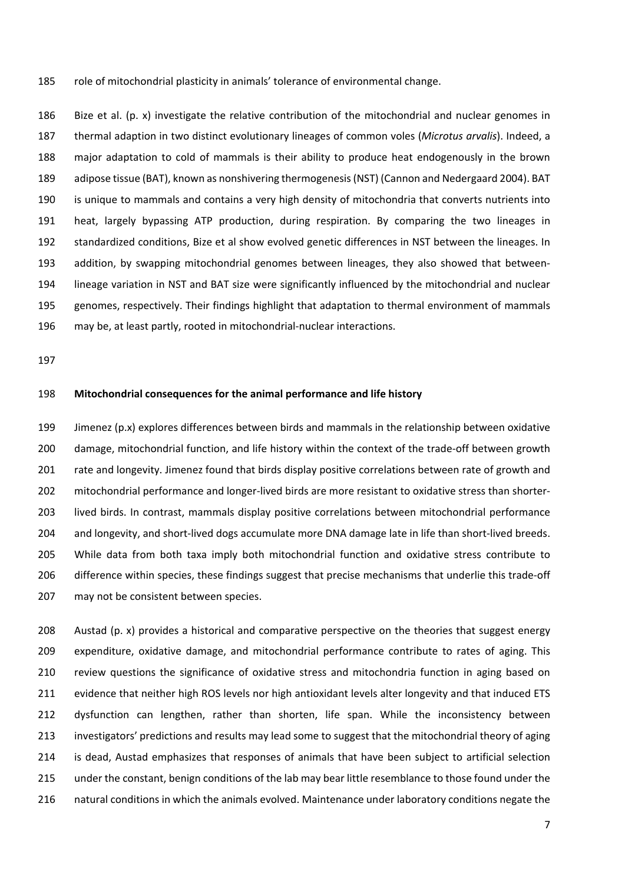role of mitochondrial plasticity in animals' tolerance of environmental change.

 Bize et al. (p. x) investigate the relative contribution of the mitochondrial and nuclear genomes in thermal adaption in two distinct evolutionary lineages of common voles (*Microtus arvalis*). Indeed, a major adaptation to cold of mammals is their ability to produce heat endogenously in the brown adipose tissue (BAT), known as nonshivering thermogenesis (NST) (Cannon and Nedergaard 2004). BAT is unique to mammals and contains a very high density of mitochondria that converts nutrients into heat, largely bypassing ATP production, during respiration. By comparing the two lineages in standardized conditions, Bize et al show evolved genetic differences in NST between the lineages. In 193 addition, by swapping mitochondrial genomes between lineages, they also showed that between- lineage variation in NST and BAT size were significantly influenced by the mitochondrial and nuclear genomes, respectively. Their findings highlight that adaptation to thermal environment of mammals 196 may be, at least partly, rooted in mitochondrial-nuclear interactions.

#### **Mitochondrial consequences for the animal performance and life history**

 Jimenez (p.x) explores differences between birds and mammals in the relationship between oxidative 200 damage, mitochondrial function, and life history within the context of the trade-off between growth rate and longevity. Jimenez found that birds display positive correlations between rate of growth and 202 mitochondrial performance and longer-lived birds are more resistant to oxidative stress than shorter- lived birds. In contrast, mammals display positive correlations between mitochondrial performance 204 and longevity, and short-lived dogs accumulate more DNA damage late in life than short-lived breeds. 205 While data from both taxa imply both mitochondrial function and oxidative stress contribute to 206 difference within species, these findings suggest that precise mechanisms that underlie this trade-off may not be consistent between species.

 Austad (p. x) provides a historical and comparative perspective on the theories that suggest energy expenditure, oxidative damage, and mitochondrial performance contribute to rates of aging. This 210 review questions the significance of oxidative stress and mitochondria function in aging based on evidence that neither high ROS levels nor high antioxidant levels alter longevity and that induced ETS dysfunction can lengthen, rather than shorten, life span. While the inconsistency between investigators' predictions and results may lead some to suggest that the mitochondrial theory of aging is dead, Austad emphasizes that responses of animals that have been subject to artificial selection under the constant, benign conditions of the lab may bear little resemblance to those found under the natural conditions in which the animals evolved. Maintenance under laboratory conditions negate the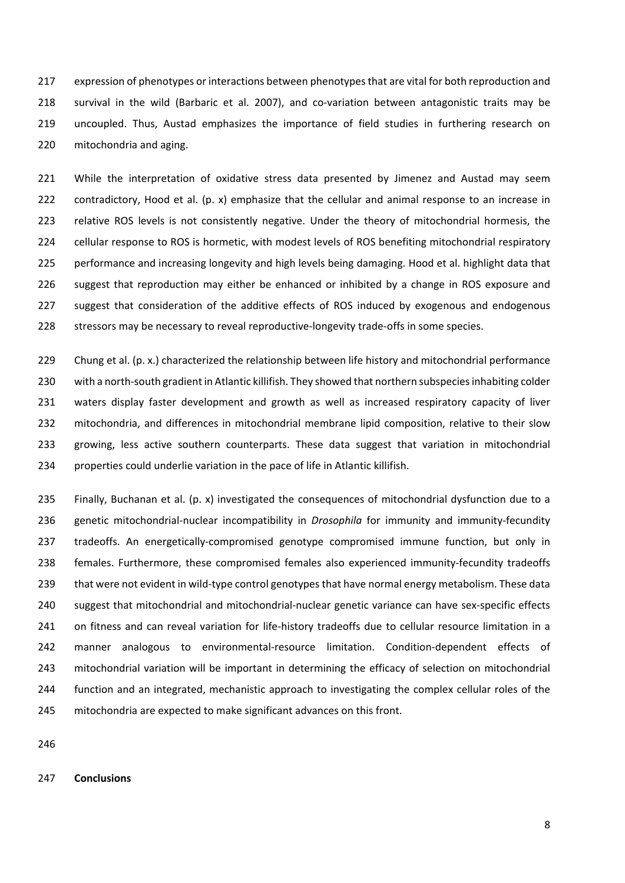expression of phenotypes or interactions between phenotypes that are vital for both reproduction and 218 survival in the wild (Barbaric et al. 2007), and co-variation between antagonistic traits may be uncoupled. Thus, Austad emphasizes the importance of field studies in furthering research on mitochondria and aging.

221 While the interpretation of oxidative stress data presented by Jimenez and Austad may seem 222 contradictory, Hood et al. (p. x) emphasize that the cellular and animal response to an increase in 223 relative ROS levels is not consistently negative. Under the theory of mitochondrial hormesis, the 224 cellular response to ROS is hormetic, with modest levels of ROS benefiting mitochondrial respiratory 225 performance and increasing longevity and high levels being damaging. Hood et al. highlight data that 226 suggest that reproduction may either be enhanced or inhibited by a change in ROS exposure and 227 suggest that consideration of the additive effects of ROS induced by exogenous and endogenous 228 stressors may be necessary to reveal reproductive-longevity trade-offs in some species.

229 Chung et al. (p. x.) characterized the relationship between life history and mitochondrial performance with a north‐south gradient in Atlantic killifish. They showed that northern subspecies inhabiting colder 231 waters display faster development and growth as well as increased respiratory capacity of liver mitochondria, and differences in mitochondrial membrane lipid composition, relative to their slow growing, less active southern counterparts. These data suggest that variation in mitochondrial properties could underlie variation in the pace of life in Atlantic killifish.

235 Finally, Buchanan et al. (p. x) investigated the consequences of mitochondrial dysfunction due to a 236 genetic mitochondrial‐nuclear incompatibility in *Drosophila* for immunity and immunity‐fecundity 237 tradeoffs. An energetically-compromised genotype compromised immune function, but only in 238 females. Furthermore, these compromised females also experienced immunity-fecundity tradeoffs 239 that were not evident in wild-type control genotypes that have normal energy metabolism. These data 240 suggest that mitochondrial and mitochondrial-nuclear genetic variance can have sex-specific effects 241 on fitness and can reveal variation for life-history tradeoffs due to cellular resource limitation in a 242 manner analogous to environmental-resource limitation. Condition-dependent effects of 243 mitochondrial variation will be important in determining the efficacy of selection on mitochondrial 244 function and an integrated, mechanistic approach to investigating the complex cellular roles of the 245 mitochondria are expected to make significant advances on this front.

246

## 247 **Conclusions**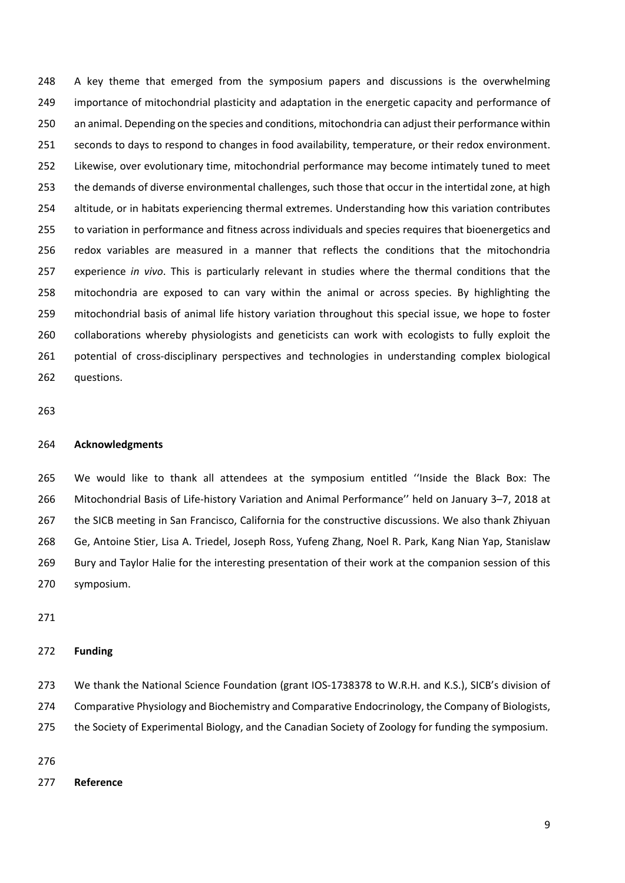248 A key theme that emerged from the symposium papers and discussions is the overwhelming importance of mitochondrial plasticity and adaptation in the energetic capacity and performance of an animal. Depending on the species and conditions, mitochondria can adjust their performance within seconds to days to respond to changes in food availability, temperature, or their redox environment. Likewise, over evolutionary time, mitochondrial performance may become intimately tuned to meet the demands of diverse environmental challenges, such those that occur in the intertidal zone, at high altitude, or in habitats experiencing thermal extremes. Understanding how this variation contributes to variation in performance and fitness across individuals and species requires that bioenergetics and redox variables are measured in a manner that reflects the conditions that the mitochondria experience *in vivo*. This is particularly relevant in studies where the thermal conditions that the mitochondria are exposed to can vary within the animal or across species. By highlighting the mitochondrial basis of animal life history variation throughout this special issue, we hope to foster collaborations whereby physiologists and geneticists can work with ecologists to fully exploit the 261 potential of cross-disciplinary perspectives and technologies in understanding complex biological questions.

### **Acknowledgments**

 We would like to thank all attendees at the symposium entitled ''Inside the Black Box: The Mitochondrial Basis of Life‐history Variation and Animal Performance'' held on January 3–7, 2018 at the SICB meeting in San Francisco, California for the constructive discussions. We also thank Zhiyuan Ge, Antoine Stier, Lisa A. Triedel, Joseph Ross, Yufeng Zhang, Noel R. Park, Kang Nian Yap, Stanislaw Bury and Taylor Halie for the interesting presentation of their work at the companion session of this symposium.

## **Funding**

273 We thank the National Science Foundation (grant IOS-1738378 to W.R.H. and K.S.), SICB's division of Comparative Physiology and Biochemistry and Comparative Endocrinology, the Company of Biologists, the Society of Experimental Biology, and the Canadian Society of Zoology for funding the symposium.

#### **Reference**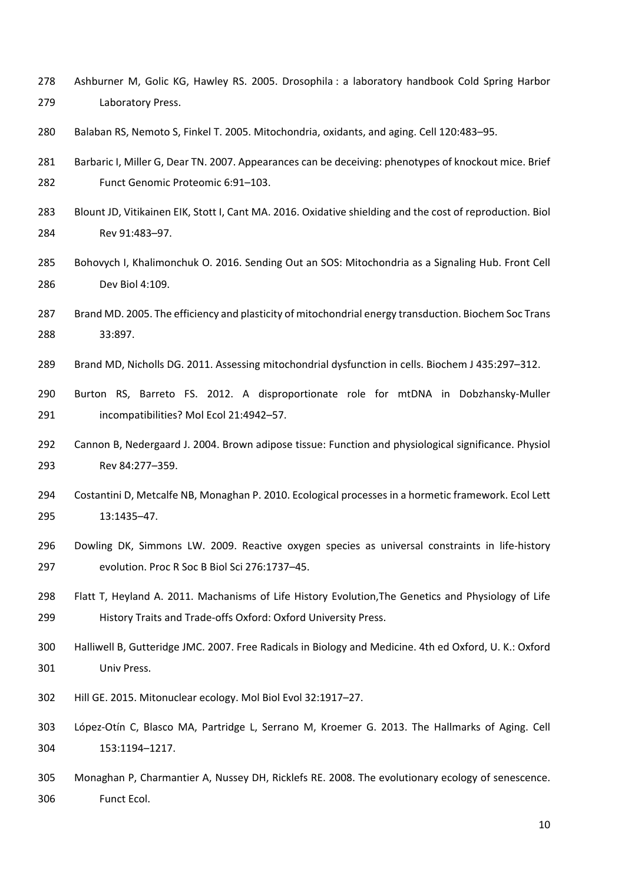- Ashburner M, Golic KG, Hawley RS. 2005. Drosophila : a laboratory handbook Cold Spring Harbor Laboratory Press.
- Balaban RS, Nemoto S, Finkel T. 2005. Mitochondria, oxidants, and aging. Cell 120:483–95.
- Barbaric I, Miller G, Dear TN. 2007. Appearances can be deceiving: phenotypes of knockout mice. Brief Funct Genomic Proteomic 6:91–103.
- Blount JD, Vitikainen EIK, Stott I, Cant MA. 2016. Oxidative shielding and the cost of reproduction. Biol Rev 91:483–97.
- Bohovych I, Khalimonchuk O. 2016. Sending Out an SOS: Mitochondria as a Signaling Hub. Front Cell Dev Biol 4:109.
- Brand MD. 2005. The efficiency and plasticity of mitochondrial energy transduction. Biochem Soc Trans 33:897.
- Brand MD, Nicholls DG. 2011. Assessing mitochondrial dysfunction in cells. Biochem J 435:297–312.
- Burton RS, Barreto FS. 2012. A disproportionate role for mtDNA in Dobzhansky‐Muller incompatibilities? Mol Ecol 21:4942–57.
- Cannon B, Nedergaard J. 2004. Brown adipose tissue: Function and physiological significance. Physiol Rev 84:277–359.
- Costantini D, Metcalfe NB, Monaghan P. 2010. Ecological processes in a hormetic framework. Ecol Lett 13:1435–47.
- 296 Dowling DK, Simmons LW. 2009. Reactive oxygen species as universal constraints in life-history evolution. Proc R Soc B Biol Sci 276:1737–45.
- 298 Flatt T, Heyland A. 2011. Machanisms of Life History Evolution, The Genetics and Physiology of Life 299 History Traits and Trade-offs Oxford: Oxford University Press.
- Halliwell B, Gutteridge JMC. 2007. Free Radicals in Biology and Medicine. 4th ed Oxford, U. K.: Oxford Univ Press.
- Hill GE. 2015. Mitonuclear ecology. Mol Biol Evol 32:1917–27.
- López‐Otín C, Blasco MA, Partridge L, Serrano M, Kroemer G. 2013. The Hallmarks of Aging. Cell 153:1194–1217.
- Monaghan P, Charmantier A, Nussey DH, Ricklefs RE. 2008. The evolutionary ecology of senescence. Funct Ecol.